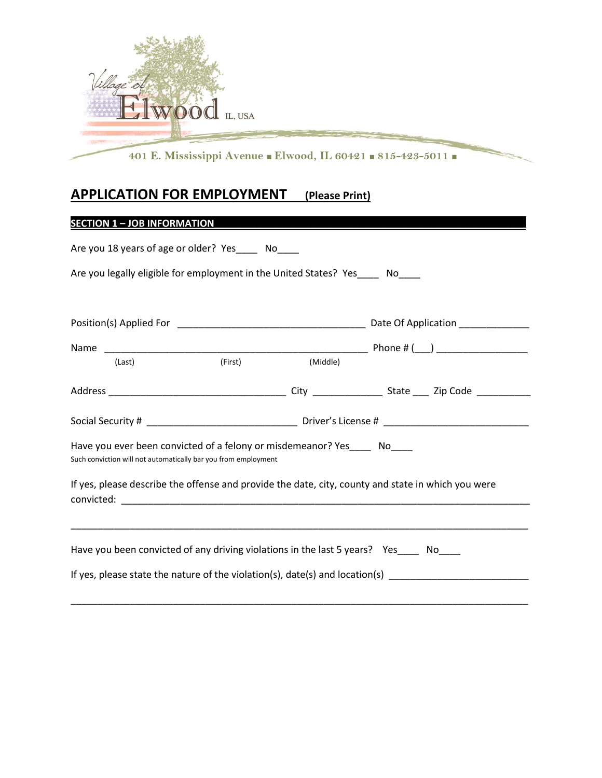

# **APPLICATION FOR EMPLOYMENT (Please Print)**

## **SECTION 1 – JOB INFORMATION\_\_\_\_\_\_\_\_\_\_\_\_\_\_\_\_\_\_\_\_\_\_\_\_\_\_\_\_\_\_\_\_\_\_\_\_\_\_\_\_\_\_\_\_\_\_\_\_\_\_\_\_\_\_\_\_\_\_**

| Are you 18 years of age or older? Yes ______ No_____                                                                                       |         |          |                                                                                                      |  |  |
|--------------------------------------------------------------------------------------------------------------------------------------------|---------|----------|------------------------------------------------------------------------------------------------------|--|--|
| Are you legally eligible for employment in the United States? Yes____ No____                                                               |         |          |                                                                                                      |  |  |
|                                                                                                                                            |         |          |                                                                                                      |  |  |
|                                                                                                                                            |         |          |                                                                                                      |  |  |
| (Last)                                                                                                                                     | (First) | (Middle) |                                                                                                      |  |  |
|                                                                                                                                            |         |          |                                                                                                      |  |  |
|                                                                                                                                            |         |          |                                                                                                      |  |  |
| Have you ever been convicted of a felony or misdemeanor? Yes_____ No____<br>Such conviction will not automatically bar you from employment |         |          |                                                                                                      |  |  |
| If yes, please describe the offense and provide the date, city, county and state in which you were                                         |         |          |                                                                                                      |  |  |
|                                                                                                                                            |         |          |                                                                                                      |  |  |
| Have you been convicted of any driving violations in the last 5 years? Yes_____ No____                                                     |         |          |                                                                                                      |  |  |
|                                                                                                                                            |         |          | If yes, please state the nature of the violation(s), date(s) and location(s) _______________________ |  |  |

\_\_\_\_\_\_\_\_\_\_\_\_\_\_\_\_\_\_\_\_\_\_\_\_\_\_\_\_\_\_\_\_\_\_\_\_\_\_\_\_\_\_\_\_\_\_\_\_\_\_\_\_\_\_\_\_\_\_\_\_\_\_\_\_\_\_\_\_\_\_\_\_\_\_\_\_\_\_\_\_\_\_\_\_\_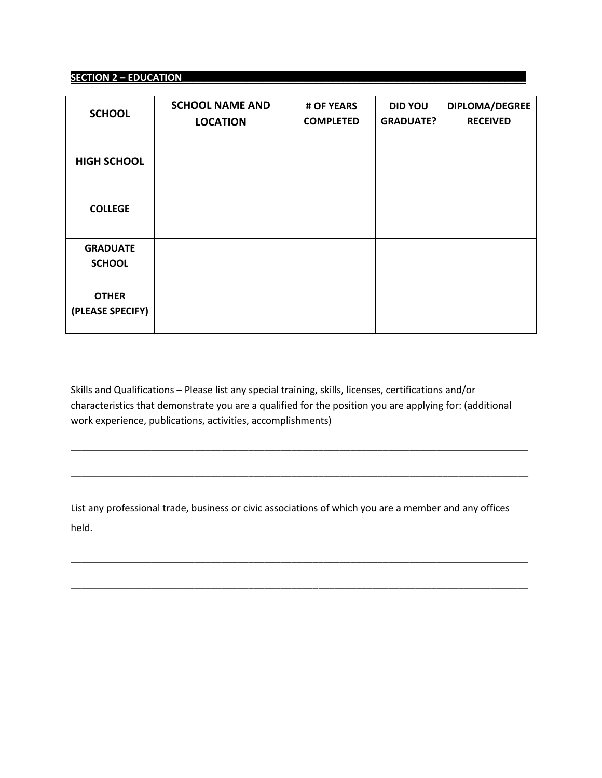#### **SECTION 2 – EDUCATION\_\_\_\_\_\_\_\_\_\_\_\_\_\_\_\_\_\_\_\_\_\_\_\_\_\_\_\_\_\_\_\_\_\_\_\_\_\_\_\_\_\_\_\_\_\_\_\_\_\_\_\_\_\_\_\_\_\_\_\_\_\_\_\_**

| <b>SCHOOL</b>                    | <b>SCHOOL NAME AND</b><br><b>LOCATION</b> | # OF YEARS<br><b>COMPLETED</b> | <b>DID YOU</b><br><b>GRADUATE?</b> | DIPLOMA/DEGREE<br><b>RECEIVED</b> |
|----------------------------------|-------------------------------------------|--------------------------------|------------------------------------|-----------------------------------|
| <b>HIGH SCHOOL</b>               |                                           |                                |                                    |                                   |
| <b>COLLEGE</b>                   |                                           |                                |                                    |                                   |
| <b>GRADUATE</b><br><b>SCHOOL</b> |                                           |                                |                                    |                                   |
| <b>OTHER</b><br>(PLEASE SPECIFY) |                                           |                                |                                    |                                   |

Skills and Qualifications – Please list any special training, skills, licenses, certifications and/or characteristics that demonstrate you are a qualified for the position you are applying for: (additional work experience, publications, activities, accomplishments)

\_\_\_\_\_\_\_\_\_\_\_\_\_\_\_\_\_\_\_\_\_\_\_\_\_\_\_\_\_\_\_\_\_\_\_\_\_\_\_\_\_\_\_\_\_\_\_\_\_\_\_\_\_\_\_\_\_\_\_\_\_\_\_\_\_\_\_\_\_\_\_\_\_\_\_\_\_\_\_\_\_\_\_\_\_

\_\_\_\_\_\_\_\_\_\_\_\_\_\_\_\_\_\_\_\_\_\_\_\_\_\_\_\_\_\_\_\_\_\_\_\_\_\_\_\_\_\_\_\_\_\_\_\_\_\_\_\_\_\_\_\_\_\_\_\_\_\_\_\_\_\_\_\_\_\_\_\_\_\_\_\_\_\_\_\_\_\_\_\_\_

List any professional trade, business or civic associations of which you are a member and any offices held.

\_\_\_\_\_\_\_\_\_\_\_\_\_\_\_\_\_\_\_\_\_\_\_\_\_\_\_\_\_\_\_\_\_\_\_\_\_\_\_\_\_\_\_\_\_\_\_\_\_\_\_\_\_\_\_\_\_\_\_\_\_\_\_\_\_\_\_\_\_\_\_\_\_\_\_\_\_\_\_\_\_\_\_\_\_

\_\_\_\_\_\_\_\_\_\_\_\_\_\_\_\_\_\_\_\_\_\_\_\_\_\_\_\_\_\_\_\_\_\_\_\_\_\_\_\_\_\_\_\_\_\_\_\_\_\_\_\_\_\_\_\_\_\_\_\_\_\_\_\_\_\_\_\_\_\_\_\_\_\_\_\_\_\_\_\_\_\_\_\_\_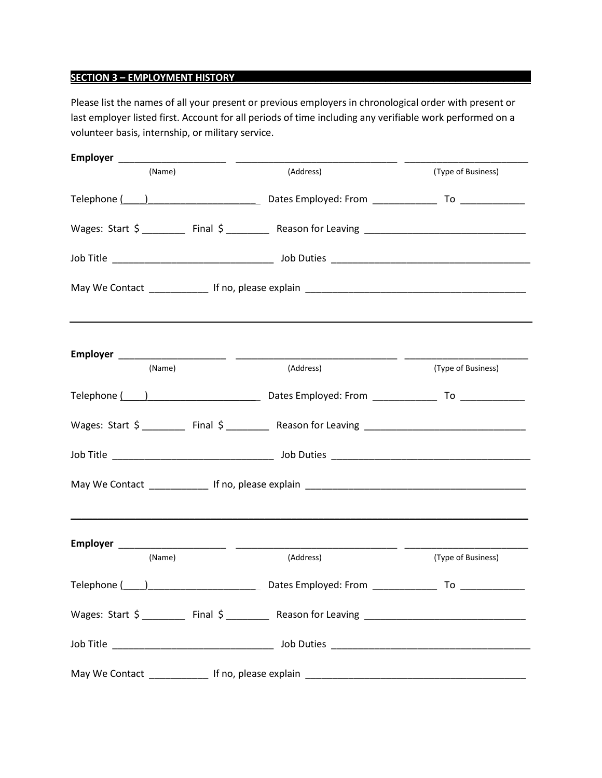### **SECTION 3 – EMPLOYMENT HISTORY\_\_\_\_\_\_\_\_\_\_\_\_\_\_\_\_\_\_\_\_\_\_\_\_\_\_\_\_\_\_\_\_\_\_\_\_\_\_\_\_\_\_\_\_\_\_\_\_\_\_\_\_\_\_\_**

Please list the names of all your present or previous employers in chronological order with present or last employer listed first. Account for all periods of time including any verifiable work performed on a volunteer basis, internship, or military service.

| (Name) | (Address)                                                                           | (Type of Business) |
|--------|-------------------------------------------------------------------------------------|--------------------|
|        |                                                                                     |                    |
|        |                                                                                     |                    |
|        |                                                                                     |                    |
|        |                                                                                     |                    |
|        | ,我们也不会有什么。""我们的人,我们也不会有什么?""我们的人,我们也不会有什么?""我们的人,我们也不会有什么?""我们的人,我们也不会有什么?""我们的人    |                    |
| (Name) | (Address)                                                                           | (Type of Business) |
|        |                                                                                     |                    |
|        |                                                                                     |                    |
|        |                                                                                     |                    |
|        |                                                                                     |                    |
| (Name) | (Address)                                                                           | (Type of Business) |
|        |                                                                                     |                    |
|        |                                                                                     |                    |
|        | Wages: Start \$ ________ Final \$ ________ Reason for Leaving _____________________ |                    |
|        |                                                                                     |                    |
|        |                                                                                     |                    |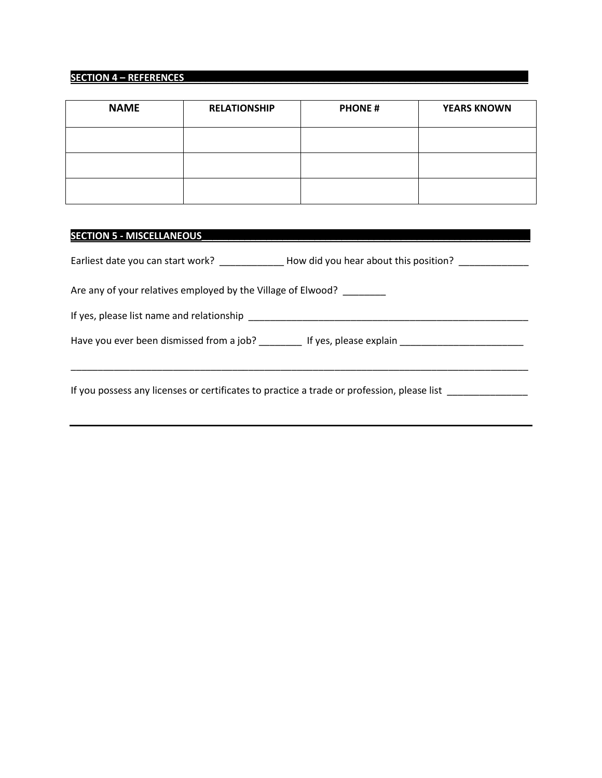### **SECTION 4 – REFERENCES\_\_\_\_\_\_\_\_\_\_\_\_\_\_\_\_\_\_\_\_\_\_\_\_\_\_\_\_\_\_\_\_\_\_\_\_\_\_\_\_\_\_\_\_\_\_\_\_\_\_\_\_\_\_\_\_\_\_\_\_\_\_\_\_**

| <b>NAME</b> | <b>RELATIONSHIP</b> | <b>PHONE#</b> | <b>YEARS KNOWN</b> |
|-------------|---------------------|---------------|--------------------|
|             |                     |               |                    |
|             |                     |               |                    |
|             |                     |               |                    |

### **SECTION 5 - MISCELLANEOUS\_\_\_\_\_\_\_\_\_\_\_\_\_\_\_\_\_\_\_\_\_\_\_\_\_\_\_\_\_\_\_\_\_\_\_\_\_\_\_\_\_\_\_\_\_\_\_\_\_\_\_\_\_\_\_\_\_\_\_\_\_**

|                                                                                                                                                                                                                               | Earliest date you can start work? ______________How did you hear about this position? _____________  |
|-------------------------------------------------------------------------------------------------------------------------------------------------------------------------------------------------------------------------------|------------------------------------------------------------------------------------------------------|
| Are any of your relatives employed by the Village of Elwood?                                                                                                                                                                  |                                                                                                      |
| If yes, please list name and relationship example to the state of the state of the state of the state of the state of the state of the state of the state of the state of the state of the state of the state of the state of |                                                                                                      |
|                                                                                                                                                                                                                               | Have you ever been dismissed from a job? _________ If yes, please explain __________________________ |
|                                                                                                                                                                                                                               | If you possess any licenses or certificates to practice a trade or profession, please list           |